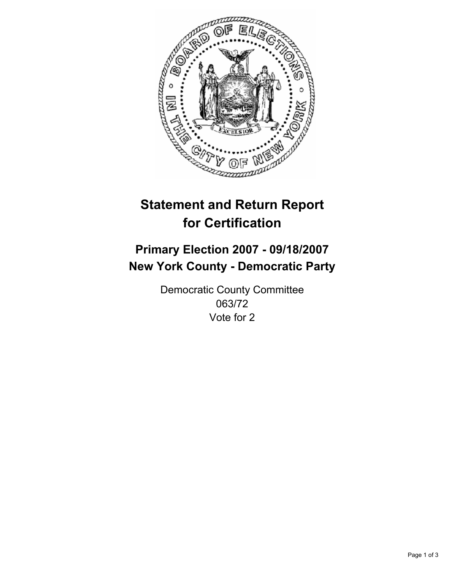

# **Statement and Return Report for Certification**

## **Primary Election 2007 - 09/18/2007 New York County - Democratic Party**

Democratic County Committee 063/72 Vote for 2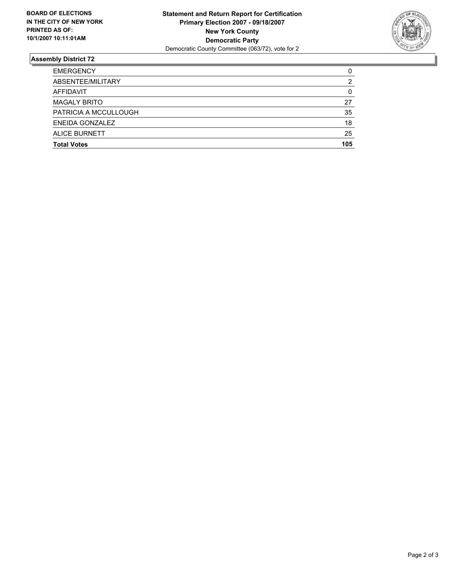

### **Assembly District 72**

| <b>EMERGENCY</b>      |     |
|-----------------------|-----|
| ABSENTEE/MILITARY     |     |
| AFFIDAVIT             |     |
| <b>MAGALY BRITO</b>   | 27  |
| PATRICIA A MCCULLOUGH | 35  |
| ENEIDA GONZALEZ       | 18  |
| <b>ALICE BURNETT</b>  | 25  |
| <b>Total Votes</b>    | 105 |